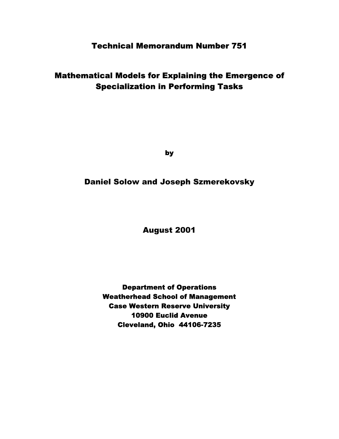# Technical Memorandum Number 751

# Mathematical Models for Explaining the Emergence of Specialization in Performing Tasks

by

Daniel Solow and Joseph Szmerekovsky

August 2001

Department of Operations Weatherhead School of Management Case Western Reserve University 10900 Euclid Avenue Cleveland, Ohio 44106-7235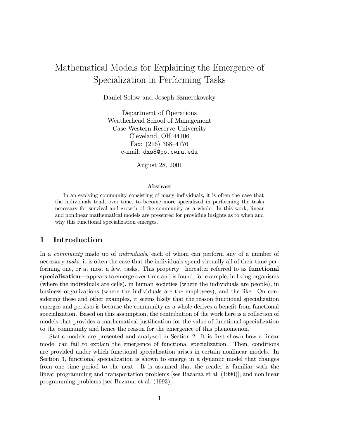# Mathematical Models for Explaining the Emergence of Specialization in Performing Tasks

Daniel Solow and Joseph Szmerekovsky

Department of Operations Weatherhead School of Management Case Western Reserve University Cleveland, OH 44106 Fax:  $(216)$  368-4776 e-mail: dxs8@po.cwru.edu

August 28, 2001

#### Abstract

In an evolving community consisting of many individuals, it is often the case that the individuals tend, over time, to become more specialized in performing the tasks necessary for survival and growth of the community as a whole. In this work, linear and nonlinear mathematical models are presented for providing insights as to when and why this functional specialization emerges.

### 1 Introduction

In a *community* made up of *individuals*, each of whom can perform any of a number of necessary tasks, it is often the case that the individuals spend virtually all of their time performing one, or at most a few, tasks. This property—hereafter referred to as **functional** specialization—appears to emerge over time and is found, for example, in living organisms (where the individuals are cells), in human societies (where the individuals are people), in business organizations (where the individuals are the employees), and the like. On considering these and other examples, it seems likely that the reason functional specialization emerges and persists is because the community as a whole derives a benefit from functional specialization. Based on this assumption, the contribution of the work here is a collection of models that provides a mathematical justification for the value of functional specialization to the community and hence the reason for the emergence of this phenomenon.

Static models are presented and analyzed in Section 2. It is first shown how a linear model can fail to explain the emergence of functional specialization. Then, conditions are provided under which functional specialization arises in certain nonlinear models. In Section 3, functional specialization is shown to emerge in a dynamic model that changes from one time period to the next. It is assumed that the reader is familiar with the linear programming and transportation problems [see Bazaraa et al. (1990)], and nonlinear programming problems [see Bazaraa et al. (1993)].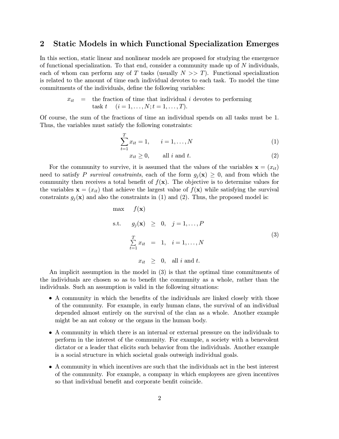### 2 Static Models in which Functional Specialization Emerges

In this section, static linear and nonlinear models are proposed for studying the emergence of functional specialization. To that end, consider a community made up of  $N$  individuals, each of whom can perform any of T tasks (usually  $N >> T$ ). Functional specialization is related to the amount of time each individual devotes to each task. To model the time commitments of the individuals, define the following variables:

> $x_{it}$  = the fraction of time that individual i devotes to performing task  $t \quad (i = 1, \ldots, N; t = 1, \ldots, T).$

Of course, the sum of the fractions of time an individual spends on all tasks must be 1. Thus, the variables must satisfy the following constraints:

$$
\sum_{t=1}^{T} x_{it} = 1, \qquad i = 1, \dots, N
$$
 (1)

$$
x_{it} \ge 0, \qquad \text{all } i \text{ and } t. \tag{2}
$$

For the community to survive, it is assumed that the values of the variables  $\mathbf{x} = (x_{it})$ need to satisfy P survival constraints, each of the form  $g_i(\mathbf{x}) \geq 0$ , and from which the community then receives a total benefit of  $f(\mathbf{x})$ . The objective is to determine values for the variables  $\mathbf{x} = (x_{it})$  that achieve the largest value of  $f(\mathbf{x})$  while satisfying the survival constraints  $g_j(\mathbf{x})$  and also the constraints in (1) and (2). Thus, the proposed model is:

$$
\begin{array}{rcl}\n\max & f(\mathbf{x}) \\
\text{s.t.} & g_j(\mathbf{x}) \geq 0, \quad j = 1, \dots, P \\
\sum_{t=1}^T x_{it} & = & 1, \quad i = 1, \dots, N \\
x_{it} \geq 0, \quad \text{all } i \text{ and } t.\n\end{array} \tag{3}
$$

An implicit assumption in the model in (3) is that the optimal time commitments of the individuals are chosen so as to benefit the community as a whole, rather than the individuals. Such an assumption is valid in the following situations:

- A community in which the benefits of the individuals are linked closely with those of the community. For example, in early human clans, the survival of an individual depended almost entirely on the survival of the clan as a whole. Another example might be an ant colony or the organs in the human body.
- A community in which there is an internal or external pressure on the individuals to perform in the interest of the community. For example, a society with a benevolent dictator or a leader that elicits such behavior from the individuals. Another example is a social structure in which societal goals outweigh individual goals.
- A community in which incentives are such that the individuals act in the best interest of the community. For example, a company in which employees are given incentives so that individual benefit and corporate benfit coincide.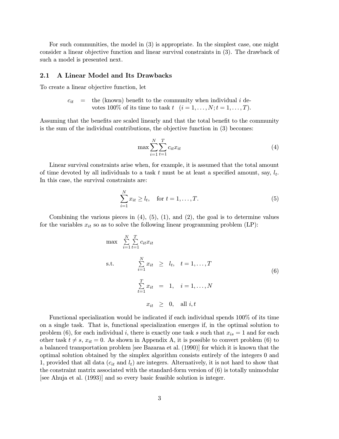For such communities, the model in (3) is appropriate. In the simplest case, one might consider a linear objective function and linear survival constraints in (3). The drawback of such a model is presented next.

#### 2.1 A Linear Model and Its Drawbacks

To create a linear objective function, let

 $c_{it}$  = the (known) benefit to the community when individual i devotes 100% of its time to task  $t \ (i = 1, \ldots, N; t = 1, \ldots, T)$ .

Assuming that the benefits are scaled linearly and that the total benefit to the community is the sum of the individual contributions, the objective function in (3) becomes:

$$
\max \sum_{i=1}^{N} \sum_{t=1}^{T} c_{it} x_{it} \tag{4}
$$

Linear survival constraints arise when, for example, it is assumed that the total amount of time devoted by all individuals to a task t must be at least a specified amount, say,  $l_t$ . In this case, the survival constraints are:

$$
\sum_{i=1}^{N} x_{it} \ge l_t, \text{ for } t = 1, ..., T.
$$
 (5)

Combining the various pieces in  $(4)$ ,  $(5)$ ,  $(1)$ , and  $(2)$ , the goal is to determine values for the variables  $x_{it}$  so as to solve the following linear programming problem (LP):

max P N i=1 P T t=1 citxit s.t. P N i=1 xit ¸ lt; t = 1;:::;T P T t=1 xit = 1; i = 1;:::;N xit ¸ 0; all i; t (6)

Functional specialization would be indicated if each individual spends 100% of its time on a single task. That is, functional specialization emerges if, in the optimal solution to problem (6), for each individual i, there is exactly one task s such that  $x_{is} = 1$  and for each other task  $t \neq s$ ,  $x_{it} = 0$ . As shown in Appendix A, it is possible to convert problem (6) to a balanced transportation problem [see Bazaraa et al. (1990)] for which it is known that the optimal solution obtained by the simplex algorithm consists entirely of the integers 0 and 1, provided that all data  $(c_{it}$  and  $l_t$ ) are integers. Alternatively, it is not hard to show that the constraint matrix associated with the standard-form version of (6) is totally unimodular [see Ahuja et al. (1993)] and so every basic feasible solution is integer.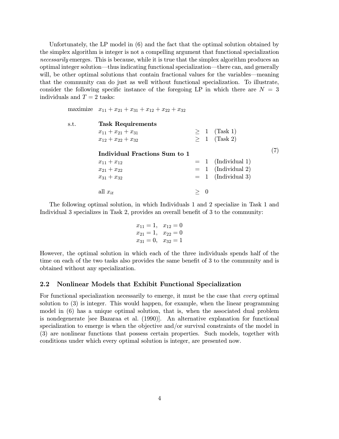Unfortunately, the LP model in (6) and the fact that the optimal solution obtained by the simplex algorithm is integer is not a compelling argument that functional specialization necessarily emerges. This is because, while it is true that the simplex algorithm produces an optimal integer solution—thus indicating functional specialization—there can, and generally will, be other optimal solutions that contain fractional values for the variables—meaning that the community can do just as well without functional specialization. To illustrate, consider the following specific instance of the foregoing LP in which there are  $N = 3$ individuals and  $T = 2$  tasks:

maximize  $x_{11} + x_{21} + x_{31} + x_{12} + x_{22} + x_{32}$ 

| s.t. | <b>Task Requirements</b>      |     |                      |  |
|------|-------------------------------|-----|----------------------|--|
|      | $x_{11} + x_{21} + x_{31}$    |     | $\geq 1$ (Task 1)    |  |
|      | $x_{12} + x_{22} + x_{32}$    |     | $\geq 1$ (Task 2)    |  |
|      | Individual Fractions Sum to 1 |     |                      |  |
|      |                               |     |                      |  |
|      | $x_{11} + x_{12}$             |     | $= 1$ (Individual 1) |  |
|      | $x_{21} + x_{22}$             |     | $= 1$ (Individual 2) |  |
|      | $x_{31} + x_{32}$             |     | $= 1$ (Individual 3) |  |
|      | all $x_{it}$                  | > 0 |                      |  |

The following optimal solution, in which Individuals 1 and 2 specialize in Task 1 and Individual 3 specializes in Task 2, provides an overall benefit of 3 to the community:

$$
x_{11} = 1, \quad x_{12} = 0
$$
  
\n
$$
x_{21} = 1, \quad x_{22} = 0
$$
  
\n
$$
x_{31} = 0, \quad x_{32} = 1
$$

However, the optimal solution in which each of the three individuals spends half of the time on each of the two tasks also provides the same benefit of 3 to the community and is obtained without any specialization.

#### 2.2 Nonlinear Models that Exhibit Functional Specialization

For functional specialization necessarily to emerge, it must be the case that every optimal solution to (3) is integer. This would happen, for example, when the linear programming model in (6) has a unique optimal solution, that is, when the associated dual problem is nondegenerate [see Bazaraa et al. (1990)]. An alternative explanation for functional specialization to emerge is when the objective and/or survival constraints of the model in (3) are nonlinear functions that possess certain properties. Such models, together with conditions under which every optimal solution is integer, are presented now.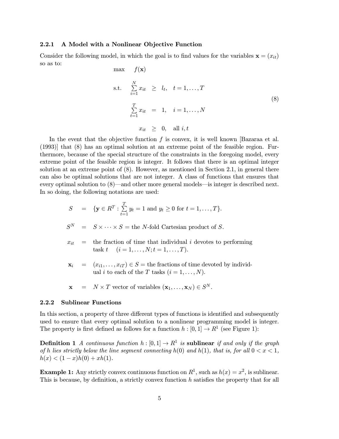#### 2.2.1 A Model with a Nonlinear Objective Function

Consider the following model, in which the goal is to find values for the variables  $\mathbf{x} = (x_{it})$ so as to: may  $f(\mathbf{x})$ 

s.t. 
$$
\sum_{i=1}^{N} x_{it} \ge l_t, \quad t = 1, ..., T
$$

$$
\sum_{t=1}^{T} x_{it} = 1, \quad i = 1, ..., N
$$

$$
x_{it} \ge 0, \quad \text{all } i, t
$$

$$
(8)
$$

In the event that the objective function  $f$  is convex, it is well known [Bazaraa et al. (1993)] that (8) has an optimal solution at an extreme point of the feasible region. Furthermore, because of the special structure of the constraints in the foregoing model, every extreme point of the feasible region is integer. It follows that there is an optimal integer solution at an extreme point of (8). However, as mentioned in Section 2.1, in general there can also be optimal solutions that are not integer. A class of functions that ensures that every optimal solution to  $(8)$ —and other more general models—is integer is described next. In so doing, the following notations are used:

$$
S = \{ \mathbf{y} \in R^T : \sum_{t=1}^T y_t = 1 \text{ and } y_t \ge 0 \text{ for } t = 1, ..., T \}.
$$
  
\n
$$
S^N = S \times \cdots \times S = \text{the } N \text{-fold Cartesian product of } S.
$$
  
\n
$$
x_{it} = \text{the fraction of time that individual } i \text{ devotes to performing}
$$
  
\n
$$
\text{task } t \quad (i = 1, ..., N; t = 1, ..., T).
$$

$$
\mathbf{x}_i = (x_{i1}, \dots, x_{iT}) \in S = \text{the fractions of time devoted by individual } i \text{ to each of the } T \text{ tasks } (i = 1, \dots, N).
$$

$$
\mathbf{x} = N \times T \text{ vector of variables } (\mathbf{x}_1, \dots, \mathbf{x}_N) \in S^N.
$$

#### 2.2.2 Sublinear Functions

In this section, a property of three different types of functions is identified and subsequently used to ensure that every optimal solution to a nonlinear programming model is integer. The property is first defined as follows for a function  $h : [0, 1] \to \mathbb{R}^1$  (see Figure 1):

**Definition 1** A continuous function  $h : [0, 1] \rightarrow R^1$  is sublinear if and only if the graph of h lies strictly below the line segment connecting  $h(0)$  and  $h(1)$ , that is, for all  $0 < x < 1$ ,  $h(x) < (1-x)h(0) + xh(1).$ 

**Example 1:** Any strictly convex continuous function on  $R^1$ , such as  $h(x) = x^2$ , is sublinear. This is because, by definition, a strictly convex function  $h$  satisfies the property that for all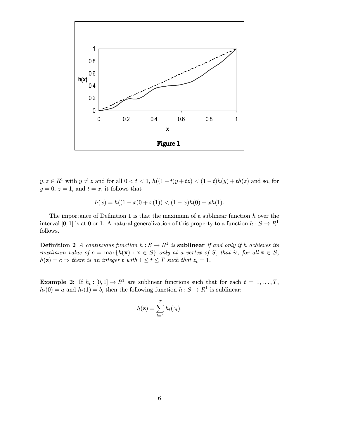

 $y, z \in R^1$  with  $y \neq z$  and for all  $0 < t < 1$ ,  $h((1-t)y + tz) < (1-t)h(y) + th(z)$  and so, for  $y = 0, z = 1$ , and  $t = x$ , it follows that

$$
h(x) = h((1 - x)0 + x(1)) < (1 - x)h(0) + xh(1).
$$

The importance of Definition 1 is that the maximum of a sublinear function  $h$  over the interval [0, 1] is at 0 or 1. A natural generalization of this property to a function  $h : S \to R<sup>1</sup>$ follows.

**Definition 2** A continuous function  $h : S \to R^1$  is sublinear if and only if h achieves its maximum value of  $c = \max\{h(\mathbf{x}) : \mathbf{x} \in S\}$  only at a vertex of S, that is, for all  $\mathbf{z} \in S$ ,  $h(\mathbf{z}) = c \Rightarrow$  there is an integer t with  $1 \le t \le T$  such that  $z_t = 1$ .

**Example 2:** If  $h_t : [0,1] \to R^1$  are sublinear functions such that for each  $t = 1,\ldots,T$ ,  $h_t(0) = a$  and  $h_t(1) = b$ , then the following function  $h : S \to R^1$  is sublinear:

$$
h(\mathbf{z}) = \sum_{t=1}^{T} h_t(z_t).
$$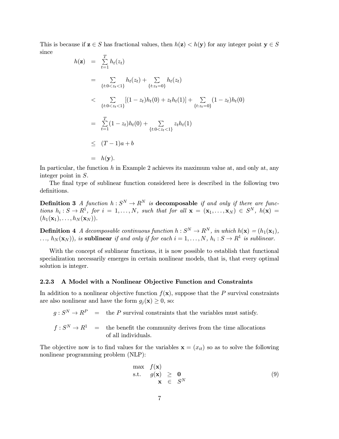This is because if  $z \in S$  has fractional values, then  $h(z) < h(y)$  for any integer point  $y \in S$ since

$$
h(\mathbf{z}) = \sum_{t=1}^{T} h_t(z_t)
$$
  
\n
$$
= \sum_{\{t: 0 < z_t < 1\}} h_t(z_t) + \sum_{\{t: z_t = 0\}} h_t(z_t)
$$
  
\n
$$
< \sum_{\{t: 0 < z_t < 1\}} [(1 - z_t)h_t(0) + z_t h_t(1)] + \sum_{\{t: z_t = 0\}} (1 - z_t)h_t(0)
$$
  
\n
$$
= \sum_{t=1}^{T} (1 - z_t)h_t(0) + \sum_{\{t: 0 < z_t < 1\}} z_t h_t(1)
$$
  
\n
$$
\leq (T - 1)a + b
$$
  
\n
$$
= h(\mathbf{y}).
$$

In particular, the function h in Example 2 achieves its maximum value at, and only at, any integer point in S.

The final type of sublinear function considered here is described in the following two definitions.

**Definition 3** A function  $h: S^N \to R^N$  is decomposable if and only if there are functions  $h_i : S \to R^1$ , for  $i = 1, \ldots, N$ , such that for all  $\mathbf{x} = (\mathbf{x}_1, \ldots, \mathbf{x}_N) \in S^N$ ,  $h(\mathbf{x}) =$  $(h_1(\mathbf{x}_1),\ldots,h_N(\mathbf{x}_N)).$ 

**Definition 4** A decomposable continuous function  $h: S^N \to R^N$ , in which  $h(\mathbf{x}) = (h_1(\mathbf{x}_1)),$  $\ldots, h_N(\mathbf{x}_N)$ , is sublinear if and only if for each  $i = 1, \ldots, N, h_i : S \to R^1$  is sublinear.

With the concept of sublinear functions, it is now possible to establish that functional specialization necessarily emerges in certain nonlinear models, that is, that every optimal solution is integer.

#### 2.2.3 A Model with a Nonlinear Objective Function and Constraints

In addition to a nonlinear objective function  $f(\mathbf{x})$ , suppose that the P survival constraints are also nonlinear and have the form  $g_i(\mathbf{x}) \geq 0$ , so:

 $g: S^N \to R^P$  = the P survival constraints that the variables must satisfy.

 $f: S^N \to R^1$  = the benefit the community derives from the time allocations of all individuals.

The objective now is to find values for the variables  $\mathbf{x} = (x_{it})$  so as to solve the following nonlinear programming problem (NLP):

$$
\begin{array}{rcl}\n\max & f(\mathbf{x}) \\
\text{s.t.} & g(\mathbf{x}) \geq 0 \\
\mathbf{x} & \in S^N\n\end{array} \tag{9}
$$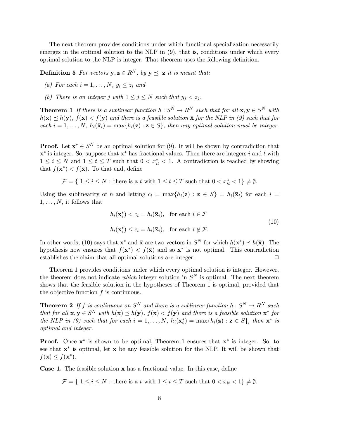The next theorem provides conditions under which functional specialization necessarily emerges in the optimal solution to the NLP in  $(9)$ , that is, conditions under which every optimal solution to the NLP is integer. That theorem uses the following definition.

**Definition 5** For vectors  $y, z \in R^N$ , by  $y \preceq z$  it is meant that:

- (a) For each  $i = 1, \ldots, N, y_i \leq z_i$  and
- (b) There is an integer j with  $1 \le j \le N$  such that  $y_j < z_j$ .

**Theorem 1** If there is a sublinear function  $h: S^N \to R^N$  such that for all  $\mathbf{x}, \mathbf{y} \in S^N$  with  $h(\mathbf{x}) \preceq h(\mathbf{y}), f(\mathbf{x}) < f(\mathbf{y})$  and there is a feasible solution  $\bar{\mathbf{x}}$  for the NLP in (9) such that for each  $i = 1, \ldots, N$ ,  $h_i(\bar{\mathbf{x}}_i) = \max\{h_i(\mathbf{z}) : \mathbf{z} \in S\}$ , then any optimal solution must be integer.

**Proof.** Let  $x^* \in S^N$  be an optimal solution for (9). It will be shown by contradiction that  $x^*$  is integer. So, suppose that  $x^*$  has fractional values. Then there are integers i and t with  $1 \leq i \leq N$  and  $1 \leq t \leq T$  such that  $0 < x_{it}^* < 1$ . A contradiction is reached by showing that  $f(\mathbf{x}^*) < f(\bar{\mathbf{x}})$ . To that end, define

$$
\mathcal{F} = \{ 1 \le i \le N : \text{there is a } t \text{ with } 1 \le t \le T \text{ such that } 0 < x_{it}^* < 1 \} \neq \emptyset.
$$

Using the sublinearity of h and letting  $c_i = \max\{h_i(\mathbf{z}) : \mathbf{z} \in S\} = h_i(\bar{\mathbf{x}}_i)$  for each  $i =$  $1,\ldots,N$ , it follows that

$$
h_i(\mathbf{x}_i^*) < c_i = h_i(\bar{\mathbf{x}}_i), \text{ for each } i \in \mathcal{F}
$$
  

$$
h_i(\mathbf{x}_i^*) \le c_i = h_i(\bar{\mathbf{x}}_i), \text{ for each } i \notin \mathcal{F}.
$$
 (10)

In other words, (10) says that  $\mathbf{x}^*$  and  $\bar{\mathbf{x}}$  are two vectors in  $S^N$  for which  $h(\mathbf{x}^*) \prec h(\bar{\mathbf{x}})$ . The hypothesis now ensures that  $f(\mathbf{x}^*) < f(\bar{\mathbf{x}})$  and so  $\mathbf{x}^*$  is not optimal. This contradiction establishes the claim that all optimal solutions are integer.  $\Box$ 

Theorem 1 provides conditions under which every optimal solution is integer. However, the theorem does not indicate which integer solution in  $S<sup>N</sup>$  is optimal. The next theorem shows that the feasible solution in the hypotheses of Theorem 1 is optimal, provided that the objective function  $f$  is continuous.

**Theorem 2** If f is continuous on  $S^N$  and there is a sublinear function  $h: S^N \to R^N$  such that for all  $\mathbf{x}, \mathbf{y} \in S^N$  with  $h(\mathbf{x}) \preceq h(\mathbf{y}), f(\mathbf{x}) < f(\mathbf{y})$  and there is a feasible solution  $\mathbf{x}^*$  for the NLP in (9) such that for each  $i = 1, \ldots, N$ ,  $h_i(\mathbf{x}_i^*) = \max\{h_i(\mathbf{z}) : \mathbf{z} \in S\}$ , then  $\mathbf{x}^*$  is optimal and integer.

**Proof.** Once  $x^*$  is shown to be optimal, Theorem 1 ensures that  $x^*$  is integer. So, to see that  $x^*$  is optimal, let x be any feasible solution for the NLP. It will be shown that  $f(\mathbf{x}) \leq f(\mathbf{x}^*)$ .

**Case 1.** The feasible solution  $x$  has a fractional value. In this case, define

 $\mathcal{F} = \{ 1 \le i \le N : \text{there is a } t \text{ with } 1 \le t \le T \text{ such that } 0 < x_{it} < 1 \} \neq \emptyset.$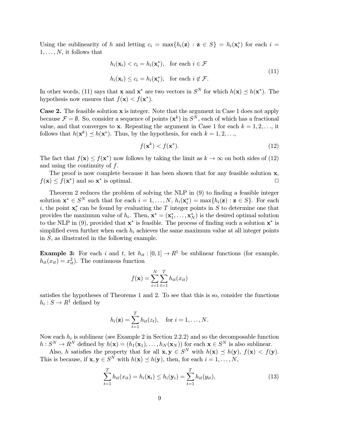Using the sublinearity of h and letting  $c_i = \max\{h_i(\mathbf{z}) : \mathbf{z} \in S\} = h_i(\mathbf{x}_i^*)$  for each  $i =$  $1,\ldots,N$ , it follows that

$$
h_i(\mathbf{x}_i) < c_i = h_i(\mathbf{x}_i^*), \quad \text{for each } i \in \mathcal{F}
$$
\n
$$
h_i(\mathbf{x}_i) \le c_i = h_i(\mathbf{x}_i^*), \quad \text{for each } i \notin \mathcal{F}.
$$
\n
$$
(11)
$$

In other words, (11) says that **x** and **x**<sup>\*</sup> are two vectors in  $S<sup>N</sup>$  for which  $h(\mathbf{x}) \preceq h(\mathbf{x}^*)$ . The hypothesis now ensures that  $f(\mathbf{x}) < f(\mathbf{x}^*)$ .

**Case 2.** The feasible solution  $x$  is integer. Note that the argument in Case 1 does not apply because  $\mathcal{F} = \emptyset$ . So, consider a sequence of points  $(\mathbf{x}^k)$  in  $S^N$ , each of which has a fractional value, and that converges to **x**. Repeating the argument in Case 1 for each  $k = 1, 2, \ldots$ , it follows that  $h(\mathbf{x}^k) \preceq h(\mathbf{x}^*)$ . Thus, by the hypothesis, for each  $k = 1, 2, \ldots$ ,

$$
f(\mathbf{x}^k) < f(\mathbf{x}^*). \tag{12}
$$

The fact that  $f(\mathbf{x}) \leq f(\mathbf{x}^*)$  now follows by taking the limit as  $k \to \infty$  on both sides of (12) and using the continuity of  $f$ .

The proof is now complete because it has been shown that for any feasible solution  $x$ ,  $f(\mathbf{x}) \leq f(\mathbf{x}^*)$  and so  $\mathbf{x}^*$  is optimal.

Theorem 2 reduces the problem of solving the NLP in  $(9)$  to finding a feasible integer solution  $\mathbf{x}^* \in S^N$  such that for each  $i = 1, \ldots, N$ ,  $h_i(\mathbf{x}_i^*) = \max\{h_i(\mathbf{z}) : \mathbf{z} \in S\}$ . For each *i*, the point  $\mathbf{x}_i^*$  can be found by evaluating the T integer points in S to determine one that provides the maximum value of  $h_i$ . Then,  $\mathbf{x}^* = (\mathbf{x}_1^*, \dots, \mathbf{x}_N^*)$  is the desired optimal solution to the NLP in (9), provided that  $x^*$  is feasible. The process of finding such a solution  $x^*$  is simplified even further when each  $h_i$  achieves the same maximum value at all integer points in  $S$ , as illustrated in the following example.

**Example 3:** For each i and t, let  $h_{it} : [0, 1] \to R^1$  be sublinear functions (for example,  $h_{it}(x_{it}) = x_{it}^2$ . The continuous function

$$
f(\mathbf{x}) = \sum_{i=1}^{N} \sum_{t=1}^{T} h_{it}(x_{it})
$$

satisfies the hypotheses of Theorems 1 and 2. To see that this is so, consider the functions  $h_i: S \to R^1$  defined by

$$
h_i(\mathbf{z}) = \sum_{t=1}^T h_{it}(z_t), \quad \text{for } i = 1, \dots, N.
$$

Now each  $h_i$  is sublinear (see Example 2 in Section 2.2.2) and so the decomposable function  $h: S^N \to R^N$  defined by  $h(\mathbf{x})=(h_1(\mathbf{x}_1),\ldots,h_N(\mathbf{x}_N))$  for each  $\mathbf{x} \in S^N$  is also sublinear.

Also, h satisfies the property that for all  $\mathbf{x}, \mathbf{y} \in S^N$  with  $h(\mathbf{x}) \preceq h(\mathbf{y}), f(\mathbf{x}) < f(\mathbf{y})$ . This is because, if  $\mathbf{x}, \mathbf{y} \in S^N$  with  $h(\mathbf{x}) \preceq h(\mathbf{y})$ , then, for each  $i = 1, \ldots, N$ ,

$$
\sum_{t=1}^{T} h_{it}(x_{it}) = h_i(\mathbf{x}_i) \le h_i(\mathbf{y}_i) = \sum_{t=1}^{T} h_{it}(y_{it}),
$$
\n(13)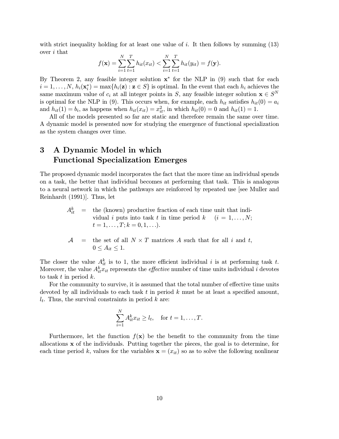with strict inequality holding for at least one value of  $i$ . It then follows by summing  $(13)$ over i that

$$
f(\mathbf{x}) = \sum_{i=1}^{N} \sum_{t=1}^{T} h_{it}(x_{it}) < \sum_{i=1}^{N} \sum_{t=1}^{T} h_{it}(y_{it}) = f(\mathbf{y}).
$$

By Theorem 2, any feasible integer solution  $x^*$  for the NLP in (9) such that for each  $i = 1, \ldots, N, h_i(\mathbf{x}_i^*) = \max\{h_i(\mathbf{z}) : \mathbf{z} \in S\}$  is optimal. In the event that each  $h_i$  achieves the same maximum value of  $c_i$  at all integer points in S, any feasible integer solution  $\mathbf{x} \in S^N$ is optimal for the NLP in (9). This occurs when, for example, each  $h_{it}$  satisfies  $h_{it}(0) = a_i$ and  $h_{it}(1) = b_i$ , as happens when  $h_{it}(x_{it}) = x_{it}^2$ , in which  $h_{it}(0) = 0$  and  $h_{it}(1) = 1$ .

All of the models presented so far are static and therefore remain the same over time. A dynamic model is presented now for studying the emergence of functional specialization as the system changes over time.

## 3 A Dynamic Model in which Functional Specialization Emerges

The proposed dynamic model incorporates the fact that the more time an individual spends on a task, the better that individual becomes at performing that task. This is analogous to a neural network in which the pathways are reinforced by repeated use [see Muller and Reinhardt (1991)]. Thus, let

- $A_{it}^{k}$  = the (known) productive fraction of each time unit that individual i puts into task t in time period  $k$  (i = 1, ..., N;  $t = 1, \ldots, T; k = 0, 1, \ldots$ .
- $A =$  the set of all  $N \times T$  matrices A such that for all i and t,  $0 \leq A_{it} \leq 1.$

The closer the value  $A_{it}^k$  is to 1, the more efficient individual i is at performing task t. Moreover, the value  $A_{it}^k x_{it}$  represents the *effective* number of time units individual  $i$  devotes to task  $t$  in period  $k$ .

For the community to survive, it is assumed that the total number of effective time units devoted by all individuals to each task  $t$  in period  $k$  must be at least a specified amount,  $l_t$ . Thus, the survival constraints in period k are:

$$
\sum_{i=1}^N A_{it}^k x_{it} \ge l_t, \quad \text{for } t = 1, \dots, T.
$$

Furthermore, let the function  $f(x)$  be the benefit to the community from the time allocations x of the individuals. Putting together the pieces, the goal is to determine, for each time period k, values for the variables  $\mathbf{x} = (x_{it})$  so as to solve the following nonlinear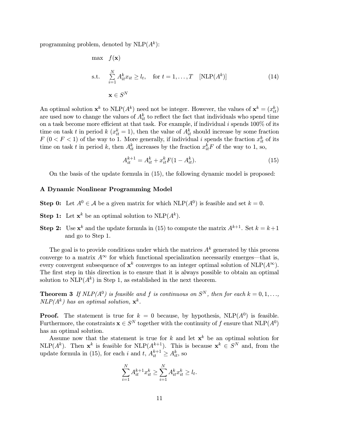programming problem, denoted by  $NLP(A^k)$ :

max 
$$
f(\mathbf{x})
$$
  
s.t. 
$$
\sum_{i=1}^{N} A_{it}^{k} x_{it} \ge l_{t}, \text{ for } t = 1, ..., T \quad [\text{NLP}(A^{k})]
$$

$$
\mathbf{x} \in S^{N}
$$
(14)

An optimal solution  $\mathbf{x}^k$  to  $\text{NLP}(A^k)$  need not be integer. However, the values of  $\mathbf{x}^k = (x_{it}^k)$ are used now to change the values of  $A_{it}^k$  to reflect the fact that individuals who spend time on a task become more efficient at that task. For example, if individual  $i$  spends 100% of its time on task t in period  $k(x_{it}^k = 1)$ , then the value of  $A_{it}^k$  should increase by some fraction  $F(0 < F < 1)$  of the way to 1. More generally, if individual i spends the fraction  $x_{it}^k$  of its time on task t in period k, then  $A_{it}^k$  increases by the fraction  $x_{it}^k F$  of the way to 1, so,

$$
A_{it}^{k+1} = A_{it}^k + x_{it}^k F(1 - A_{it}^k). \tag{15}
$$

On the basis of the update formula in (15), the following dynamic model is proposed:

#### A Dynamic Nonlinear Programming Model

- **Step 0:** Let  $A^0 \in \mathcal{A}$  be a given matrix for which NLP( $A^0$ ) is feasible and set  $k = 0$ .
- **Step 1:** Let  $\mathbf{x}^k$  be an optimal solution to NLP( $A^k$ ).
- **Step 2:** Use  $\mathbf{x}^k$  and the update formula in (15) to compute the matrix  $A^{k+1}$ . Set  $k = k+1$ . and go to Step 1.

The goal is to provide conditions under which the matrices  $A<sup>k</sup>$  generated by this process converge to a matrix  $A^{\infty}$  for which functional specialization necessarily emerges—that is, every convergent subsequence of  $\mathbf{x}^k$  converges to an integer optimal solution of NLP( $A^{\infty}$ ). The first step in this direction is to ensure that it is always possible to obtain an optimal solution to NLP( $A^k$ ) in Step 1, as established in the next theorem.

**Theorem 3** If  $NLP(A^0)$  is feasible and f is continuous on  $S^N$ , then for each  $k = 0, 1, \ldots$  $NLP(A^k)$  has an optimal solution,  $\mathbf{x}^k$ .

**Proof.** The statement is true for  $k = 0$  because, by hypothesis, NLP( $A^0$ ) is feasible. Furthermore, the constraints  $x \in S^N$  together with the continuity of f ensure that  $NLP(A^0)$ has an optimal solution.

Assume now that the statement is true for k and let  $x^k$  be an optimal solution for NLP( $A^k$ ). Then  $\mathbf{x}^k$  is feasible for NLP( $A^{k+1}$ ). This is because  $\mathbf{x}^k \in S^N$  and, from the update formula in (15), for each i and  $t, A_{it}^{k+1} \geq A_{it}^k$ , so

$$
\sum_{i=1}^{N} A_{it}^{k+1} x_{it}^{k} \ge \sum_{i=1}^{N} A_{it}^{k} x_{it}^{k} \ge l_t.
$$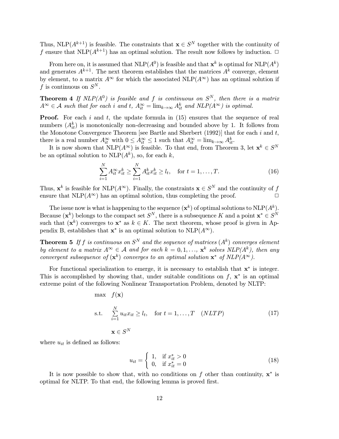Thus, NLP( $A^{k+1}$ ) is feasible. The constraints that  $\mathbf{x} \in S^N$  together with the continuity of f ensure that NLP( $A^{k+1}$ ) has an optimal solution. The result now follows by induction.  $\Box$ 

From here on, it is assumed that  $NLP(A^0)$  is feasible and that  $\mathbf{x}^k$  is optimal for  $NLP(A^k)$ and generates  $A^{k+1}$ . The next theorem establishes that the matrices  $A^k$  converge, element by element, to a matrix  $A^{\infty}$  for which the associated NLP( $A^{\infty}$ ) has an optimal solution if f is continuous on  $S^N$ .

**Theorem 4** If  $NLP(A^0)$  is feasible and f is continuous on  $S^N$ , then there is a matrix  $A^{\infty} \in \mathcal{A}$  such that for each i and t,  $A^{\infty}_{it} = \lim_{k \to \infty} A^k_{it}$  and  $NLP(A^{\infty})$  is optimal.

**Proof.** For each i and t, the update formula in  $(15)$  ensures that the sequence of real numbers  $(A_{it}^k)$  is monotonically non-decreasing and bounded above by 1. It follows from the Monotone Convergence Theorem [see Bartle and Sherbert  $(1992)$ ] that for each i and t, there is a real number  $A_{it}^{\infty}$  with  $0 \leq A_{it}^{\infty} \leq 1$  such that  $A_{it}^{\infty} = \lim_{k \to \infty} A_{it}^k$ .

It is now shown that  $NLP(A^{\infty})$  is feasible. To that end, from Theorem 3, let  $\mathbf{x}^k \in S^N$ be an optimal solution to  $NLP(A^k)$ , so, for each k,

$$
\sum_{i=1}^{N} A_{it}^{\infty} x_{it}^{k} \ge \sum_{i=1}^{N} A_{it}^{k} x_{it}^{k} \ge l_{t}, \quad \text{for } t = 1, ..., T.
$$
 (16)

Thus,  $\mathbf{x}^k$  is feasible for NLP( $A^{\infty}$ ). Finally, the constraints  $\mathbf{x} \in S^N$  and the continuity of f<br>ensure that NLP( $A^{\infty}$ ) has an optimal solution, thus completing the proof ensure that  $NLP(A^{\infty})$  has an optimal solution, thus completing the proof.

The issue now is what is happening to the sequence  $({\bf x}^k)$  of optimal solutions to  $\text{NLP}(A^k)$ . Because  $(x^k)$  belongs to the compact set  $S^N$ , there is a subsequence K and a point  $x^* \in S^N$ such that  $(x^k)$  converges to  $x^*$  as  $k \in K$ . The next theorem, whose proof is given in Appendix B, establishes that  $x^*$  is an optimal solution to  $NLP(A^{\infty})$ .

**Theorem 5** If f is continuous on  $S^N$  and the sequence of matrices  $(A^k)$  converges element by element to a matrix  $A^{\infty} \in \mathcal{A}$  and for each  $k = 0, 1, \ldots, \mathbf{x}^k$  solves  $NLP(A^k)$ , then any convergent subsequence of  $(\mathbf{x}^k)$  converges to an optimal solution  $\mathbf{x}^*$  of  $NLP(A^\infty)$ .

For functional specialization to emerge, it is necessary to establish that  $x^*$  is integer. This is accomplished by showing that, under suitable conditions on  $f$ ,  $\mathbf{x}^*$  is an optimal extreme point of the following Nonlinear Transportation Problem, denoted by NLTP:

max 
$$
f(\mathbf{x})
$$
  
s.t. 
$$
\sum_{i=1}^{N} u_{it}x_{it} \ge l_t, \text{ for } t = 1,...,T \quad (NLTP)
$$

$$
\mathbf{x} \in S^N
$$
 (17)

where  $u_{it}$  is defined as follows:

$$
u_{it} = \begin{cases} 1, & \text{if } x_{it}^{*} > 0 \\ 0, & \text{if } x_{it}^{*} = 0 \end{cases}
$$
 (18)

It is now possible to show that, with no conditions on  $f$  other than continuity,  $x^*$  is optimal for NLTP. To that end, the following lemma is proved first.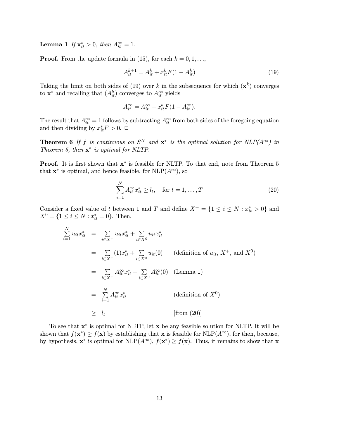**Lemma 1** If  $\mathbf{x}_{it}^* > 0$ , then  $A_{it}^{\infty} = 1$ .

**Proof.** From the update formula in (15), for each  $k = 0, 1, \ldots$ ,

$$
A_{it}^{k+1} = A_{it}^k + x_{it}^k F(1 - A_{it}^k)
$$
\n(19)

Taking the limit on both sides of (19) over k in the subsequence for which  $(x^k)$  converges to  $\mathbf{x}^*$  and recalling that  $(A_{it}^k)$  converges to  $A_{it}^{\infty}$  yields

$$
A_{it}^{\infty} = A_{it}^{\infty} + x_{it}^* F (1 - A_{it}^{\infty}).
$$

The result that  $A_{it}^{\infty} = 1$  follows by subtracting  $A_{it}^{\infty}$  from both sides of the foregoing equation and then dividing by  $x_{it}^* F > 0$ .  $\Box$ 

**Theorem 6** If f is continuous on  $S^N$  and  $x^*$  is the optimal solution for  $NLP(A^{\infty})$  in Theorem 5, then  $x^*$  is optimal for NLTP.

**Proof.** It is first shown that  $x^*$  is feasible for NLTP. To that end, note from Theorem 5 that  $\mathbf{x}^*$  is optimal, and hence feasible, for NLP( $A^{\infty}$ ), so

$$
\sum_{i=1}^{N} A_{it}^{\infty} x_{it}^{*} \ge l_{t}, \quad \text{for } t = 1, ..., T
$$
 (20)

Consider a fixed value of t between 1 and T and define  $X^+ = \{1 \le i \le N : x_{it}^* > 0\}$  and  $X^0 = \{1 \le i \le N : x_{it}^* = 0\}.$  Then,

$$
\sum_{i=1}^{N} u_{it}x_{it}^{*} = \sum_{i \in X^{+}} u_{it}x_{it}^{*} + \sum_{i \in X^{0}} u_{it}x_{it}^{*}
$$
\n
$$
= \sum_{i \in X^{+}} (1)x_{it}^{*} + \sum_{i \in X^{0}} u_{it}(0) \qquad \text{(definition of } u_{it}, X^{+}, \text{ and } X^{0})
$$
\n
$$
= \sum_{i \in X^{+}} A_{it}^{\infty}x_{it}^{*} + \sum_{i \in X^{0}} A_{it}^{\infty}(0) \qquad \text{(Lemma 1)}
$$
\n
$$
= \sum_{i=1}^{N} A_{it}^{\infty}x_{it}^{*} \qquad \text{(definition of } X^{0})
$$
\n
$$
\geq l_{t} \qquad \text{[from (20)]}
$$

To see that  $x^*$  is optimal for NLTP, let  $x$  be any feasible solution for NLTP. It will be shown that  $f(\mathbf{x}^*) \ge f(\mathbf{x})$  by establishing that **x** is feasible for NLP( $A^{\infty}$ ), for then, because, by hypothesis,  $x^*$  is optimal for NLP( $A^{\infty}$ ),  $f(x^*) \ge f(x)$ . Thus, it remains to show that x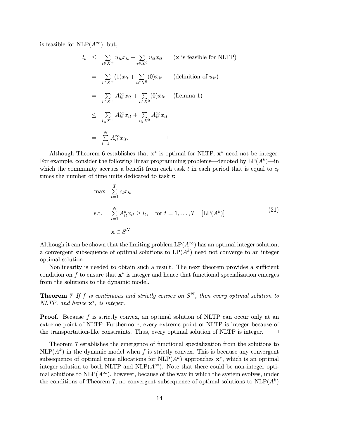is feasible for NLP( $A^{\infty}$ ), but,

$$
l_{t} \leq \sum_{i \in X^{+}} u_{it}x_{it} + \sum_{i \in X^{0}} u_{it}x_{it} \quad (\mathbf{x} \text{ is feasible for NLTP})
$$
  
\n
$$
= \sum_{i \in X^{+}} (1)x_{it} + \sum_{i \in X^{0}} (0)x_{it} \quad (\text{definition of } u_{it})
$$
  
\n
$$
= \sum_{i \in X^{+}} A_{it}^{\infty} x_{it} + \sum_{i \in X^{0}} (0)x_{it} \quad (\text{Lemma 1})
$$
  
\n
$$
\leq \sum_{i \in X^{+}} A_{it}^{\infty} x_{it} + \sum_{i \in X^{0}} A_{it}^{\infty} x_{it}
$$
  
\n
$$
= \sum_{i=1}^{N} A_{it}^{\infty} x_{it}.
$$

Although Theorem 6 establishes that  $x^*$  is optimal for NLTP,  $x^*$  need not be integer. For example, consider the following linear programming problems—denoted by  $LP(A^k)$ —in which the community accrues a benefit from each task t in each period that is equal to  $c_t$ times the number of time units dedicated to task t:

$$
\max \sum_{t=1}^{T} c_t x_{it}
$$
\n
$$
\text{s.t.} \quad \sum_{i=1}^{N} A_{it}^k x_{it} \ge l_t, \quad \text{for } t = 1, \dots, T \quad [\text{LP}(A^k)]
$$
\n
$$
\mathbf{x} \in S^N
$$
\n
$$
(21)
$$

Although it can be shown that the limiting problem  $LP(A^{\infty})$  has an optimal integer solution, a convergent subsequence of optimal solutions to  $LP(A^k)$  need not converge to an integer optimal solution.

Nonlinearity is needed to obtain such a result. The next theorem provides a sufficient condition on f to ensure that  $x^*$  is integer and hence that functional specialization emerges from the solutions to the dynamic model.

**Theorem 7** If f is continuous and strictly convex on  $S<sup>N</sup>$ , then every optimal solution to NLTP, and hence  $\mathbf{x}^*$ , is integer.

**Proof.** Because  $f$  is strictly convex, an optimal solution of NLTP can occur only at an extreme point of NLTP. Furthermore, every extreme point of NLTP is integer because of the transportation-like constraints. Thus, every optimal solution of NLTP is integer.  $\Box$ 

Theorem 7 establishes the emergence of functional specialization from the solutions to  $NLP(A^k)$  in the dynamic model when f is strictly convex. This is because any convergent subsequence of optimal time allocations for  $NLP(A^k)$  approaches  $\mathbf{x}^*$ , which is an optimal integer solution to both NLTP and NLP( $A^{\infty}$ ). Note that there could be non-integer optimal solutions to  $NLP(A^{\infty})$ , however, because of the way in which the system evolves, under the conditions of Theorem 7, no convergent subsequence of optimal solutions to  $NLP(A^k)$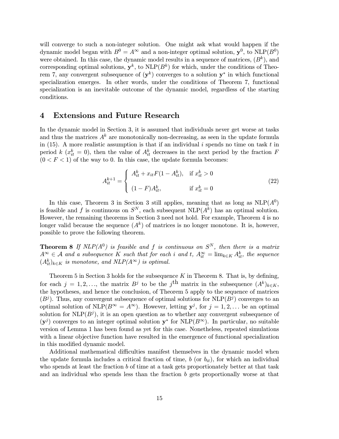will converge to such a non-integer solution. One might ask what would happen if the dynamic model began with  $B^0 = A^{\infty}$  and a non-integer optimal solution,  $y^0$ , to NLP( $B^0$ ) were obtained. In this case, the dynamic model results in a sequence of matrices,  $(B^k)$ , and corresponding optimal solutions,  $y^k$ , to NLP( $B^k$ ) for which, under the conditions of Theorem 7, any convergent subsequence of  $(y^k)$  converges to a solution  $y^*$  in which functional specialization emerges. In other words, under the conditions of Theorem 7, functional specialization is an inevitable outcome of the dynamic model, regardless of the starting conditions.

### 4 Extensions and Future Research

In the dynamic model in Section 3, it is assumed that individuals never get worse at tasks and thus the matrices  $A^k$  are monotonically non-decreasing, as seen in the update formula in  $(15)$ . A more realistic assumption is that if an individual i spends no time on task t in period k  $(x_{it}^k = 0)$ , then the value of  $A_{it}^k$  decreases in the next period by the fraction F  $(0 < F < 1)$  of the way to 0. In this case, the update formula becomes:

$$
A_{it}^{k+1} = \begin{cases} A_{it}^{k} + x_{it}F(1 - A_{it}^{k}), & \text{if } x_{it}^{k} > 0\\ (1 - F)A_{it}^{k}, & \text{if } x_{it}^{k} = 0 \end{cases}
$$
(22)

In this case, Theorem 3 in Section 3 still applies, meaning that as long as  $NLP(A^0)$ is feasible and f is continuous on  $S^N$ , each subsequent NLP( $A^k$ ) has an optimal solution. However, the remaining theorems in Section 3 need not hold. For example, Theorem 4 is no longer valid because the sequence  $(A^k)$  of matrices is no longer monotone. It is, however, possible to prove the following theorem.

**Theorem 8** If  $NLP(A^0)$  is feasible and f is continuous on  $S^N$ , then there is a matrix  $A^{\infty} \in \mathcal{A}$  and a subsequence K such that for each i and t,  $A_{it}^{\infty} = \lim_{k \in K} A_{it}^{k}$ , the sequence  $(A_{it}^k)_{k\in K}$  is monotone, and  $NLP(A^{\infty})$  is optimal.

Theorem 5 in Section 3 holds for the subsequence K in Theorem 8. That is, by defining, for each  $j = 1, 2, \ldots$ , the matrix  $B^j$  to be the j<sup>th</sup> matrix in the subsequence  $(A^k)_{k \in K}$ , the hypotheses, and hence the conclusion, of Theorem 5 apply to the sequence of matrices  $(B<sup>j</sup>)$ . Thus, any convergent subsequence of optimal solutions for NLP $(B<sup>j</sup>)$  converges to an optimal solution of NLP( $B^{\infty} = A^{\infty}$ ). However, letting  $y^{j}$ , for  $j = 1, 2, \ldots$  be an optimal solution for  $NLP(B^j)$ , it is an open question as to whether any convergent subsequence of  $(y^{j})$  converges to an integer optimal solution  $y^*$  for NLP( $B^{\infty}$ ). In particular, no suitable version of Lemma 1 has been found as yet for this case. Nonetheless, repeated simulations with a linear objective function have resulted in the emergence of functional specialization in this modified dynamic model.

Additional mathematical difficulties manifest themselves in the dynamic model when the update formula includes a critical fraction of time, b (or  $b_{it}$ ), for which an individual who spends at least the fraction b of time at a task gets proportionately better at that task and an individual who spends less than the fraction  $b$  gets proportionally worse at that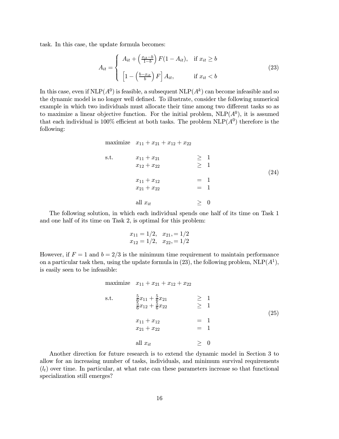task. In this case, the update formula becomes:

$$
A_{it} = \begin{cases} A_{it} + \left(\frac{x_{it} - b}{1 - b}\right) F(1 - A_{it}), & \text{if } x_{it} \ge b \\ \left[1 - \left(\frac{b - x_{it}}{b}\right) F\right] A_{it}, & \text{if } x_{it} < b \end{cases} \tag{23}
$$

In this case, even if  $NLP(A^0)$  is feasible, a subsequent  $NLP(A^k)$  can become infeasible and so the dynamic model is no longer well defined. To illustrate, consider the following numerical example in which two individuals must allocate their time among two different tasks so as to maximize a linear objective function. For the initial problem,  $NLP(A^0)$ , it is assumed that each individual is 100% efficient at both tasks. The problem  $NLP(A^0)$  therefore is the following:

maximize 
$$
x_{11} + x_{21} + x_{12} + x_{22}
$$
  
\ns.t.  $x_{11} + x_{21} \ge 1$   
\n $x_{12} + x_{22} \ge 1$   
\n $x_{11} + x_{12} = 1$   
\n $x_{21} + x_{22} = 1$   
\nall  $x_{it} \ge 0$  (24)

The following solution, in which each individual spends one half of its time on Task 1 and one half of its time on Task 2, is optimal for this problem:

$$
x_{11} = 1/2
$$
,  $x_{21} = 1/2$   
\n $x_{12} = 1/2$ ,  $x_{22} = 1/2$ 

However, if  $F = 1$  and  $b = 2/3$  is the minimum time requirement to maintain performance on a particular task then, using the update formula in (23), the following problem,  $NLP(A^1)$ , is easily seen to be infeasible:

maximize 
$$
x_{11} + x_{21} + x_{12} + x_{22}
$$
  
\ns.t.  $\frac{5}{6}x_{11} + \frac{5}{6}x_{21} \ge 1$   
\n $\frac{5}{6}x_{12} + \frac{5}{6}x_{22} \ge 1$   
\n $x_{11} + x_{12} = 1$   
\n $x_{21} + x_{22} = 1$   
\nall  $x_{it} \ge 0$  (25)

Another direction for future research is to extend the dynamic model in Section 3 to allow for an increasing number of tasks, individuals, and minimum survival requirements  $(l_t)$  over time. In particular, at what rate can these parameters increase so that functional specialization still emerges?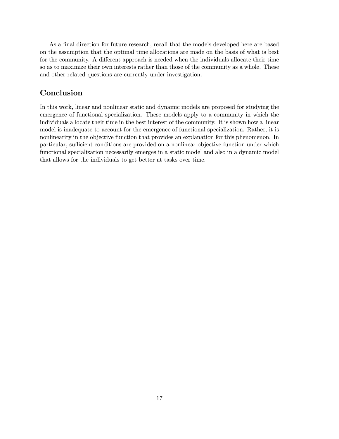As a final direction for future research, recall that the models developed here are based on the assumption that the optimal time allocations are made on the basis of what is best for the community. A different approach is needed when the individuals allocate their time so as to maximize their own interests rather than those of the community as a whole. These and other related questions are currently under investigation.

### Conclusion

In this work, linear and nonlinear static and dynamic models are proposed for studying the emergence of functional specialization. These models apply to a community in which the individuals allocate their time in the best interest of the community. It is shown how a linear model is inadequate to account for the emergence of functional specialization. Rather, it is nonlinearity in the objective function that provides an explanation for this phenomenon. In particular, sufficient conditions are provided on a nonlinear objective function under which functional specialization necessarily emerges in a static model and also in a dynamic model that allows for the individuals to get better at tasks over time.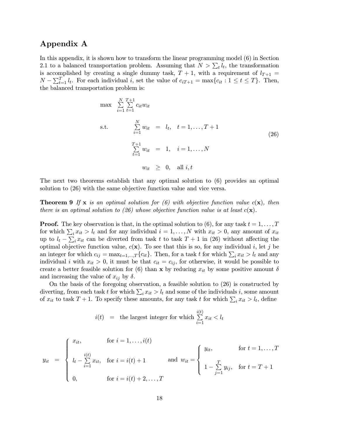## Appendix A

In this appendix, it is shown how to transform the linear programming model (6) in Section 2.1 to a balanced transportation problem. Assuming that  $N > \sum_t l_t$ , the transformation is accomplished by creating a single dummy task,  $T + 1$ , with a requirement of  $l_{T+1}$  =  $N - \sum_{t=1}^{T} l_t$ . For each individual i, set the value of  $c_{iT+1} = \max\{c_{it} : 1 \le t \le T\}$ . Then, the balanced transportation problem is:

max P N i=1 T P +1 t=1 citwit s.t. P N i=1 wit = lt; t = 1;:::;T + 1 T P +1 t=1 wit = 1; i = 1;:::;N wit ¸ 0; all i; t (26)

The next two theorems establish that any optimal solution to (6) provides an optimal solution to (26) with the same objective function value and vice versa.

**Theorem 9** If **x** is an optimal solution for (6) with objective function value  $c(\mathbf{x})$ , then there is an optimal solution to (26) whose objective function value is at least  $c(\mathbf{x})$ .

**Proof.** The key observation is that, in the optimal solution to (6), for any task  $t = 1, \ldots, T$ for which  $\sum_i x_{it} > l_t$  and for any individual  $i = 1, \ldots, N$  with  $x_{it} > 0$ , any amount of  $x_{it}$ up to  $l_t - \sum_i x_{it}$  can be diverted from task t to task  $T + 1$  in (26) without affecting the optimal objective function value,  $c(\mathbf{x})$ . To see that this is so, for any individual i, let j be an integer for which  $c_{ij} = \max_{t=1,\dots,T} \{c_{it}\}\.$  Then, for a task t for which  $\sum_i x_{it} > l_t$  and any individual i with  $x_{it} > 0$ , it must be that  $c_{it} = c_{ij}$ , for otherwise, it would be possible to create a better feasible solution for (6) than x by reducing  $x_{it}$  by some positive amount  $\delta$ and increasing the value of  $x_{ij}$  by  $\delta$ .

On the basis of the foregoing observation, a feasible solution to (26) is constructed by diverting, from each task t for which  $\sum_i x_{it} > l_t$  and some of the individuals i, some amount of  $x_{it}$  to task  $T + 1$ . To specify these amounts, for any task t for which  $\sum_i x_{it} > l_t$ , define

$$
i(t)
$$
 = the largest integer for which  $\sum_{i=1}^{i(t)} x_{it} < l_t$ 

$$
y_{it} = \begin{cases} x_{it}, & \text{for } i = 1, ..., i(t) \\ l_t - \sum_{i=1}^{i(t)} x_{it}, & \text{for } i = i(t) + 1 \\ 0, & \text{for } i = i(t) + 2, ..., T \end{cases} \text{ and } w_{it} = \begin{cases} y_{it}, & \text{for } t = 1, ..., T \\ 1 - \sum_{j=1}^{T} y_{ij}, & \text{for } t = T + 1 \\ \end{cases}
$$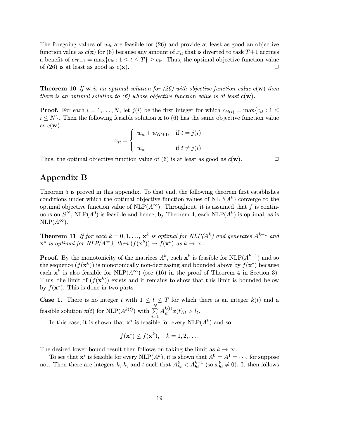The foregoing values of  $w_{it}$  are feasible for (26) and provide at least as good an objective function value as  $c(\mathbf{x})$  for (6) because any amount of  $x_{it}$  that is diverted to task  $T+1$  accrues a benefit of  $c_{iT+1} = \max\{c_{it} : 1 \le t \le T\} \ge c_{it}$ . Thus, the optimal objective function value of (26) is at least as good as  $c(\mathbf{x})$ . of (26) is at least as good as  $c(\mathbf{x})$ .

**Theorem 10** If **w** is an optimal solution for (26) with objective function value  $c(\mathbf{w})$  then there is an optimal solution to (6) whose objective function value is at least  $c(\mathbf{w})$ .

**Proof.** For each  $i = 1, \ldots, N$ , let  $j(i)$  be the first integer for which  $c_{ij(i)} = \max\{c_{it} : 1 \leq i\}$  $i \leq N$ . Then the following feasible solution x to (6) has the same objective function value as  $c(\mathbf{w})$ :

$$
x_{it} = \begin{cases} w_{it} + w_{iT+1}, & \text{if } t = j(i) \\ w_{it} & \text{if } t \neq j(i) \end{cases}
$$

Thus, the optimal objective function value of (6) is at least as good as  $c(\mathbf{w})$ .

# Appendix B

Theorem 5 is proved in this appendix. To that end, the following theorem first establishes conditions under which the optimal objective function values of  $NLP(A^k)$  converge to the optimal objective function value of  $NLP(A^{\infty})$ . Throughout, it is assumed that f is continuous on  $S^N$ , NLP( $A^0$ ) is feasible and hence, by Theorem 4, each NLP( $A^k$ ) is optimal, as is  $NLP(A^{\infty}).$ 

**Theorem 11** If for each  $k = 0, 1, \ldots, x^k$  is optimal for  $NLP(A^k)$  and generates  $A^{k+1}$  and  $\mathbf{x}^*$  is optimal for  $NLP(A^{\infty})$ , then  $(f(\mathbf{x}^k)) \rightarrow f(\mathbf{x}^*)$  as  $k \rightarrow \infty$ .

**Proof.** By the monotonicity of the matrices  $A^k$ , each  $\mathbf{x}^k$  is feasible for  $\text{NLP}(A^{k+1})$  and so the sequence  $(f(\mathbf{x}^k))$  is monotonically non-decreasing and bounded above by  $f(\mathbf{x}^*)$  because each  $x^k$  is also feasible for NLP( $A^{\infty}$ ) (see (16) in the proof of Theorem 4 in Section 3). Thus, the limit of  $(f(\mathbf{x}^k))$  exists and it remains to show that this limit is bounded below by  $f(\mathbf{x}^*)$ . This is done in two parts.

**Case 1.** There is no integer t with  $1 \le t \le T$  for which there is an integer  $k(t)$  and a feasible solution  $\mathbf{x}(t)$  for NLP( $A^{k(t)}$ ) with  $\sum_{n=1}^{N}$  $i=1$  $A_{it}^{k(t)}x(t)_{it} > l_t.$ 

In this case, it is shown that  $x^*$  is feasible for every  $NLP(A^k)$  and so

$$
f(\mathbf{x}^*) \le f(\mathbf{x}^k), \quad k = 1, 2, \dots.
$$

The desired lower-bound result then follows on taking the limit as  $k \to \infty$ .

To see that  $\mathbf{x}^*$  is feasible for every NLP( $A^k$ ), it is shown that  $A^0 = A^1 = \cdots$ , for suppose not. Then there are integers k, h, and t such that  $A_{ht}^k < A_{ht}^{k+1}$  (so  $x_{ht}^k \neq 0$ ). It then follows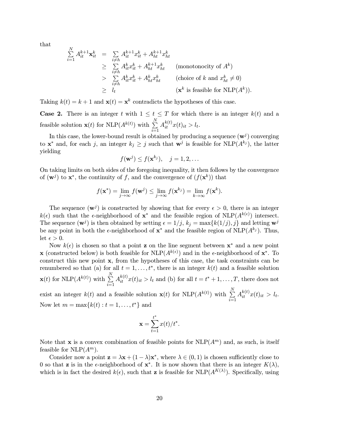that

 $\overline{M}$ 

$$
\sum_{i=1}^{N} A_{it}^{k+1} \mathbf{x}_{it}^{k} = \sum_{\substack{i \neq h \\ i \neq h}} A_{it}^{k+1} x_{it}^{k} + A_{ht}^{k+1} x_{ht}^{k}
$$
\n
$$
\geq \sum_{\substack{i \neq h \\ i \neq h}} A_{it}^{k} x_{it}^{k} + A_{ht}^{k+1} x_{ht}^{k}
$$
 (monotonicity of  $A^{k}$ )\n
$$
> \sum_{\substack{i \neq h \\ i \neq h}} A_{it}^{k} x_{it}^{k} + A_{ht}^{k} x_{ht}^{k}
$$
 (choice of  $k$  and  $x_{ht}^{k} \neq 0$ )\n
$$
\geq l_{t}
$$
 ( $\mathbf{x}^{k}$  is feasible for NLP( $A^{k}$ )).

Taking  $k(t) = k + 1$  and  $\mathbf{x}(t) = \mathbf{x}^k$  contradicts the hypotheses of this case.

**Case 2.** There is an integer t with  $1 \le t \le T$  for which there is an integer  $k(t)$  and a feasible solution  $\mathbf{x}(t)$  for NLP( $A^{k(t)}$ ) with  $\sum_{n=1}^{N}$  $i=1$  $A_{it}^{k(t)}x(t)_{it} > l_t.$ 

In this case, the lower-bound result is obtained by producing a sequence  $(w^{j})$  converging to  $\mathbf{x}^*$  and, for each j, an integer  $k_j \geq j$  such that  $\mathbf{w}^j$  is feasible for NLP( $A^{k_j}$ ), the latter yielding

$$
f(\mathbf{w}^j) \leq f(\mathbf{x}^{k_j}), \quad j = 1, 2, \dots
$$

On taking limits on both sides of the foregoing inequality, it then follows by the convergence of  $(\mathbf{w}^j)$  to  $\mathbf{x}^*$ , the continuity of f, and the convergence of  $(f(\mathbf{x}^k))$  that

$$
f(\mathbf{x}^*) = \lim_{j \to \infty} f(\mathbf{w}^j) \le \lim_{j \to \infty} f(\mathbf{x}^{k_j}) = \lim_{k \to \infty} f(\mathbf{x}^k).
$$

The sequence  $(\mathbf{w}^j)$  is constructed by showing that for every  $\epsilon > 0$ , there is an integer  $k(\epsilon)$  such that the  $\epsilon$ -neighborhood of  $x^*$  and the feasible region of NLP( $A^{k(\epsilon)}$ ) intersect. The sequence  $(\mathbf{w}^j)$  is then obtained by setting  $\epsilon = 1/j$ ,  $k_j = \max\{k(1/j), j\}$  and letting  $\mathbf{w}^j$ be any point in both the  $\epsilon$ -neighborhood of  $x^*$  and the feasible region of NLP( $A^{k_j}$ ). Thus, let  $\epsilon > 0$ .

Now  $k(\epsilon)$  is chosen so that a point z on the line segment between  $\mathbf{x}^*$  and a new point **x** (constructed below) is both feasible for  $\text{NLP}(A^{k(\epsilon)})$  and in the  $\epsilon$ -neighborhood of  $\mathbf{x}^*$ . To construct this new point x, from the hypotheses of this case, the task constraints can be renumbered so that (a) for all  $t = 1, \ldots, t^*$ , there is an integer  $k(t)$  and a feasible solution  $\mathbf{x}(t)$  for NLP $(A^{k(t)})$  with  $\sum_{k=1}^{N}$  $i=1$  $A_{it}^{k(t)}x(t)_{it} > l_t$  and (b) for all  $t = t^* + 1, \ldots, T$ , there does not

exist an integer  $k(t)$  and a feasible solution  $\mathbf{x}(t)$  for NLP( $A^{k(t)}$ ) with  $\sum_{n=1}^{N}$  $i=1$  $A_{it}^{k(t)}x(t)_{it} > l_t.$ Now let  $m = \max\{k(t) : t = 1, \ldots, t^*\}$  and

$$
\mathbf{x} = \sum_{t=1}^{t^*} x(t)/t^*.
$$

Note that x is a convex combination of feasible points for  $NLP(A^m)$  and, as such, is itself feasible for  $NLP(A^m)$ .

Consider now a point  $z = \lambda x + (1 - \lambda)x^*$ , where  $\lambda \in (0, 1)$  is chosen sufficiently close to 0 so that **z** is in the  $\epsilon$ -neighborhood of  $\mathbf{x}^*$ . It is now shown that there is an integer  $K(\lambda)$ , which is in fact the desired  $k(\epsilon)$ , such that **z** is feasible for NLP( $A^{K(\lambda)}$ ). Specifically, using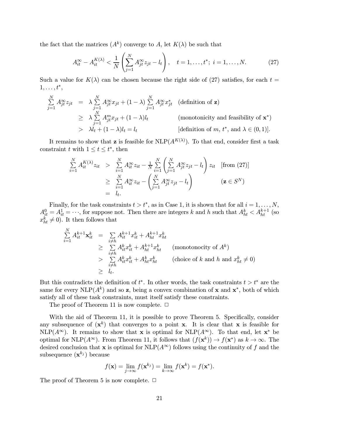the fact that the matrices  $(A^k)$  converge to A, let  $K(\lambda)$  be such that

$$
A_{it}^{\infty} - A_{it}^{K(\lambda)} < \frac{1}{N} \left( \sum_{j=1}^{N} A_{jt}^{\infty} z_{jt} - l_t \right), \quad t = 1, \dots, t^*; \ i = 1, \dots, N. \tag{27}
$$

Such a value for  $K(\lambda)$  can be chosen because the right side of (27) satisfies, for each  $t =$  $1,\ldots,t^*,$ 

$$
\sum_{j=1}^{N} A_{jt}^{\infty} z_{jt} = \lambda \sum_{j=1}^{N} A_{jt}^{\infty} x_{jt} + (1 - \lambda) \sum_{j=1}^{N} A_{jt}^{\infty} x_{jt}^{*} \quad \text{(definition of } \mathbf{z})
$$
\n
$$
\geq \lambda \sum_{j=1}^{N} A_{jt}^{m} x_{jt} + (1 - \lambda) l_{t} \qquad \qquad \text{(monotonicity and feasibility of } \mathbf{x}^{*})
$$
\n
$$
> \lambda l_{t} + (1 - \lambda) l_{t} = l_{t} \qquad \qquad \text{[definition of } m, t^{*}, \text{ and } \lambda \in (0, 1)].
$$

It remains to show that **z** is feasible for  $\text{NLP}(A^{K(\lambda)})$ . To that end, consider first a task constraint t with  $1 \le t \le t^*$ , then

$$
\sum_{i=1}^{N} A_{it}^{K(\lambda)} z_{it} > \sum_{i=1}^{N} A_{it}^{\infty} z_{it} - \frac{1}{N} \sum_{i=1}^{N} \left( \sum_{j=1}^{N} A_{jt}^{\infty} z_{jt} - l_t \right) z_{it} \quad \text{[from (27)]}
$$
\n
$$
\geq \sum_{i=1}^{N} A_{it}^{\infty} z_{it} - \left( \sum_{j=1}^{N} A_{jt}^{\infty} z_{jt} - l_t \right) \qquad (\mathbf{z} \in S^N)
$$
\n
$$
= l_t.
$$

Finally, for the task constraints  $t>t^*$ , as in Case 1, it is shown that for all  $i = 1, \ldots, N$ ,  $A_{it}^0 = A_{it}^1 = \cdots$ , for suppose not. Then there are integers k and h such that  $A_{ht}^k < A_{ht}^{k+1}$  (so  $x_{ht}^k \neq 0$ . It then follows that

$$
\sum_{i=1}^{N} A_{it}^{k+1} \mathbf{x}_{it}^{k} = \sum_{\substack{i \neq h}} A_{it}^{k+1} x_{it}^{k} + A_{ht}^{k+1} x_{ht}^{k}
$$
\n
$$
\geq \sum_{\substack{i \neq h}} A_{it}^{k} x_{it}^{k} + A_{ht}^{k+1} x_{ht}^{k} \qquad \text{(monotonicity of } A^{k})
$$
\n
$$
> \sum_{i \neq h} A_{it}^{k} x_{it}^{k} + A_{ht}^{k} x_{ht}^{k} \qquad \text{(choice of } k \text{ and } h \text{ and } x_{ht}^{k} \neq 0)
$$
\n
$$
\geq l_{t}.
$$

But this contradicts the definition of  $t^*$ . In other words, the task constraints  $t>t^*$  are the same for every NLP( $A^k$ ) and so z, being a convex combination of x and  $x^*$ , both of which satisfy all of these task constraints, must itself satisfy these constraints.

The proof of Theorem 11 is now complete.  $\Box$ 

With the aid of Theorem 11, it is possible to prove Theorem 5. Specifically, consider any subsequence of  $(x^k)$  that converges to a point x. It is clear that x is feasible for  $NLP(A^{\infty})$ . It remains to show that **x** is optimal for  $NLP(A^{\infty})$ . To that end, let **x**<sup>\*</sup> be optimal for NLP( $A^{\infty}$ ). From Theorem 11, it follows that  $(f(\mathbf{x}^k)) \to f(\mathbf{x}^*)$  as  $k \to \infty$ . The desired conclusion that x is optimal for  $NLP(A^{\infty})$  follows using the continuity of f and the subsequence  $(\mathbf{x}^{k_j})$  because

$$
f(\mathbf{x}) = \lim_{j \to \infty} f(\mathbf{x}^{k_j}) = \lim_{k \to \infty} f(\mathbf{x}^k) = f(\mathbf{x}^*).
$$

The proof of Theorem 5 is now complete.  $\Box$